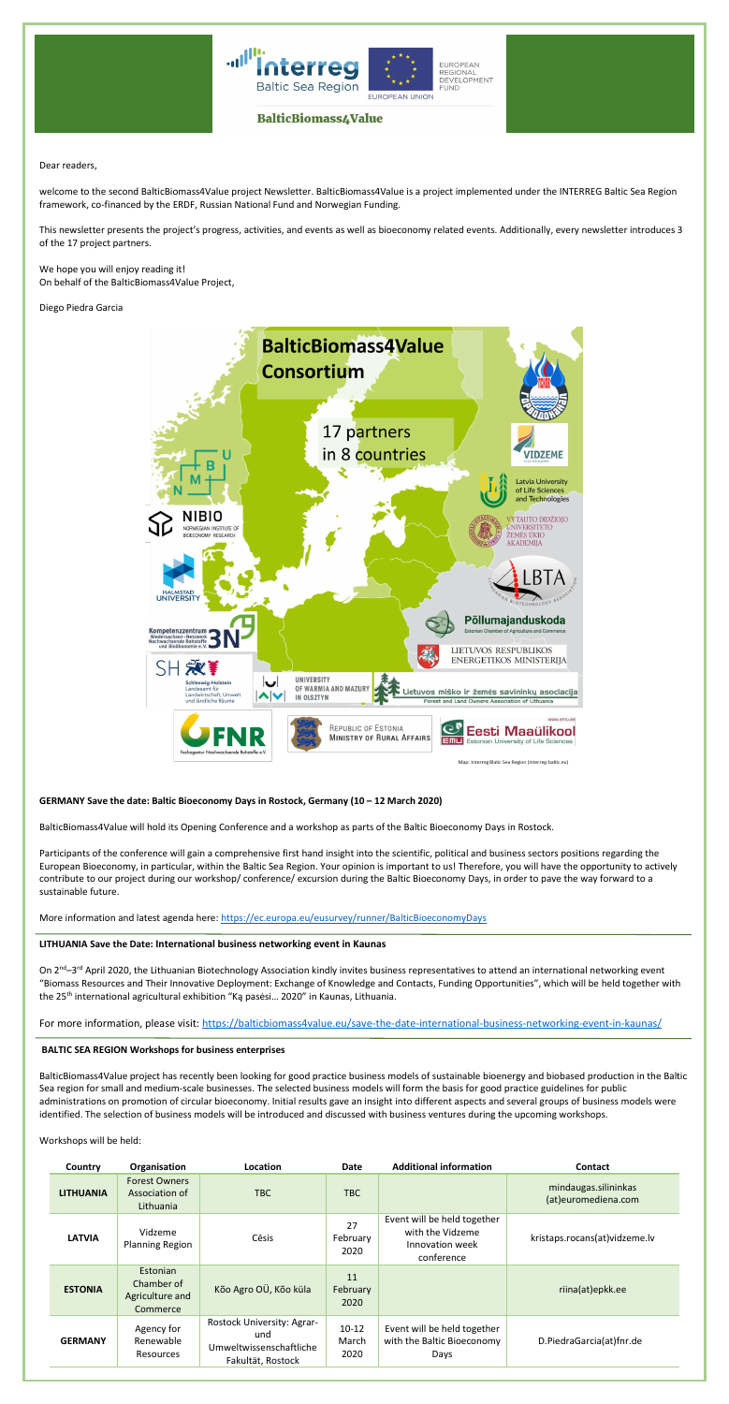



# **BalticBiomass4Value**

Dear readers,

welcome to the second BalticBiomass4Value project Newsletter. BalticBiomass4Value is a project implemented under the INTERREG Baltic Sea Region framework, co-financed by the ERDF, Russian National Fund and Norwegian Funding.

We hope you will enjoy reading it! On behalf of the BalticBiomass4Value Project,

This newsletter presents the project's progress, activities, and events as well as bioeconomy related events. Additionally, every newsletter introduces 3 of the 17 project partners.

Diego Piedra Garcia



**GERMANY Save the date: Baltic Bioeconomy Days in Rostock, Germany (10 – 12 March 2020)**

BalticBiomass4Value will hold its Opening Conference and a workshop as parts of the Baltic Bioeconomy Days in Rostock.

Participants of the conference will gain a comprehensive first hand insight into the scientific, political and business sectors positions regarding the

European Bioeconomy, in particular, within the Baltic Sea Region. Your opinion is important to us! Therefore, you will have the opportunity to actively contribute to our project during our workshop/ conference/ excursion during the Baltic Bioeconomy Days, in order to pave the way forward to a sustainable future.

More information and latest agenda here: <https://ec.europa.eu/eusurvey/runner/BalticBioeconomyDays>

## **LITHUANIA Save the Date: International business networking event in Kaunas**

On 2<sup>nd</sup>–3<sup>rd</sup> April 2020, the Lithuanian Biotechnology Association kindly invites business representatives to attend an international networking event "Biomass Resources and Their Innovative Deployment: Exchange of Knowledge and Contacts, Funding Opportunities", which will be held together with the 25<sup>th</sup> international agricultural exhibition "Ką pasėsi... 2020" in Kaunas, Lithuania.

For more information, please visit: <https://balticbiomass4value.eu/save-the-date-international-business-networking-event-in-kaunas/>

## **BALTIC SEA REGION Workshops for business enterprises**

BalticBiomass4Value project has recently been looking for good practice business models of sustainable bioenergy and biobased production in the Baltic Sea region for small and medium-scale businesses. The selected business models will form the basis for good practice guidelines for public administrations on promotion of circular bioeconomy. Initial results gave an insight into different aspects and several groups of business models were identified. The selection of business models will be introduced and discussed with business ventures during the upcoming workshops.

| Country          | Organisation                                          | Location                                                                          | <b>Date</b>            | <b>Additional information</b>                                                    | <b>Contact</b>                              |
|------------------|-------------------------------------------------------|-----------------------------------------------------------------------------------|------------------------|----------------------------------------------------------------------------------|---------------------------------------------|
| <b>LITHUANIA</b> | <b>Forest Owners</b><br>Association of<br>Lithuania   | <b>TBC</b>                                                                        | <b>TBC</b>             |                                                                                  | mindaugas.silininkas<br>(at)euromediena.com |
| <b>LATVIA</b>    | Vidzeme<br><b>Planning Region</b>                     | Cēsis                                                                             | 27<br>February<br>2020 | Event will be held together<br>with the Vidzeme<br>Innovation week<br>conference | kristaps.rocans(at)vidzeme.lv               |
| <b>ESTONIA</b>   | Estonian<br>Chamber of<br>Agriculture and<br>Commerce | Kõo Agro OÜ, Kõo küla                                                             | 11<br>February<br>2020 |                                                                                  | riina(at)epkk.ee                            |
| <b>GERMANY</b>   | Agency for<br>Renewable<br><b>Resources</b>           | Rostock University: Agrar-<br>und<br>Umweltwissenschaftliche<br>Fakultät, Rostock |                        | Event will be held together<br>with the Baltic Bioeconomy<br>Days                | D.PiedraGarcia(at)fnr.de                    |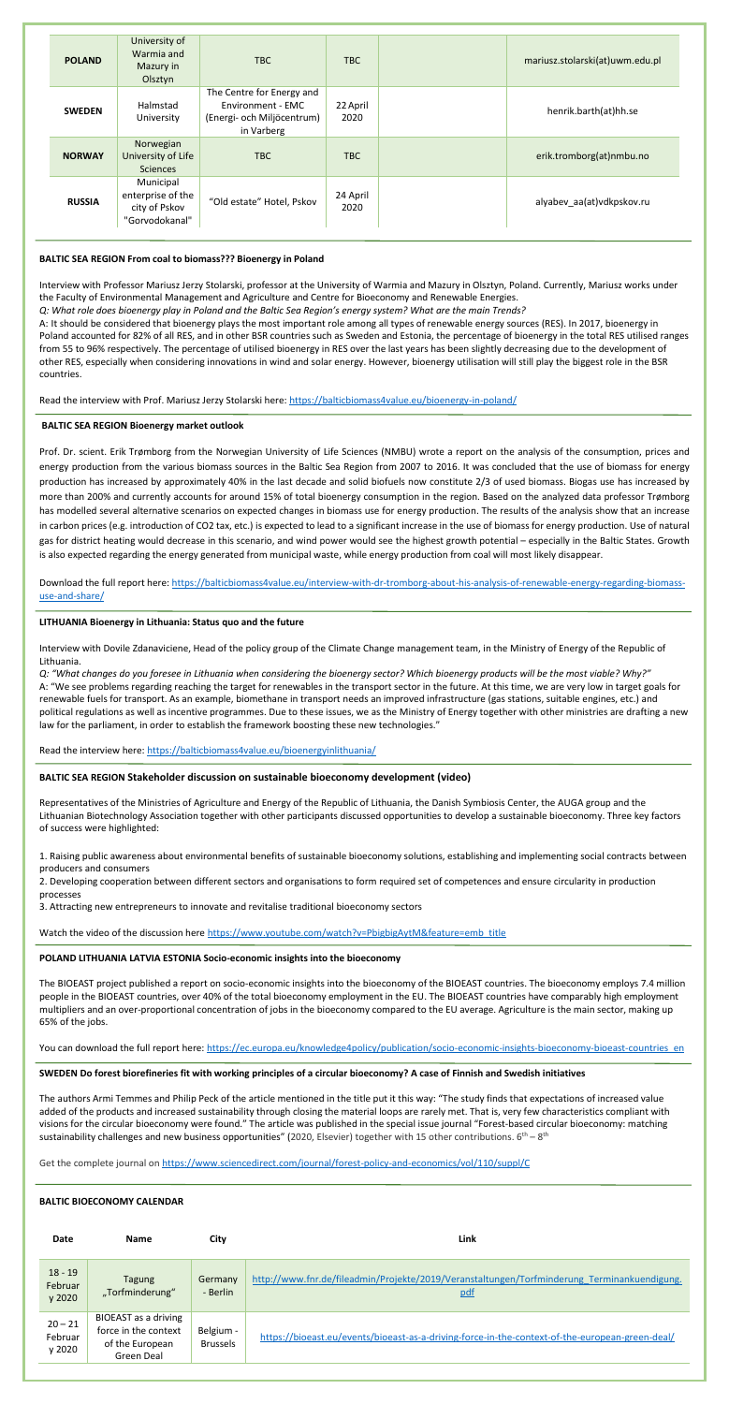| <b>POLAND</b> | University of<br>Warmia and<br>Mazury in<br>Olsztyn               | TBC                                                                                        | TBC              | mariusz.stolarski(at)uwm.edu.pl |
|---------------|-------------------------------------------------------------------|--------------------------------------------------------------------------------------------|------------------|---------------------------------|
| <b>SWEDEN</b> | Halmstad<br>University                                            | The Centre for Energy and<br>Environment - EMC<br>(Energi- och Miljöcentrum)<br>in Varberg | 22 April<br>2020 | henrik.barth(at)hh.se           |
| <b>NORWAY</b> | Norwegian<br>University of Life<br><b>Sciences</b>                | TBC                                                                                        | TBC              | erik.tromborg(at)nmbu.no        |
| <b>RUSSIA</b> | Municipal<br>enterprise of the<br>city of Pskov<br>"Gorvodokanal" | "Old estate" Hotel, Pskov                                                                  | 24 April<br>2020 | alyabev_aa(at)vdkpskov.ru       |

## **BALTIC SEA REGION From coal to biomass??? Bioenergy in Poland**

Interview with Professor Mariusz Jerzy Stolarski, professor at the University of Warmia and Mazury in Olsztyn, Poland. Currently, Mariusz works under the Faculty of Environmental Management and Agriculture and Centre for Bioeconomy and Renewable Energies.

*Q: What role does bioenergy play in Poland and the Baltic Sea Region's energy system? What are the main Trends?*

A: It should be considered that bioenergy plays the most important role among all types of renewable energy sources (RES). In 2017, bioenergy in Poland accounted for 82% of all RES, and in other BSR countries such as Sweden and Estonia, the percentage of bioenergy in the total RES utilised ranges from 55 to 96% respectively. The percentage of utilised bioenergy in RES over the last years has been slightly decreasing due to the development of other RES, especially when considering innovations in wind and solar energy. However, bioenergy utilisation will still play the biggest role in the BSR countries.

Read the interview with Prof. Mariusz Jerzy Stolarski here[: https://balticbiomass4value.eu/bioenergy-in-poland/](https://balticbiomass4value.eu/bioenergy-in-poland/)

## **BALTIC SEA REGION Bioenergy market outlook**

Prof. Dr. scient. Erik Trømborg from the Norwegian University of Life Sciences (NMBU) wrote a report on the analysis of the consumption, prices and energy production from the various biomass sources in the Baltic Sea Region from 2007 to 2016. It was concluded that the use of biomass for energy production has increased by approximately 40% in the last decade and solid biofuels now constitute 2/3 of used biomass. Biogas use has increased by more than 200% and currently accounts for around 15% of total bioenergy consumption in the region. Based on the analyzed data professor Trømborg has modelled several alternative scenarios on expected changes in biomass use for energy production. The results of the analysis show that an increase in carbon prices (e.g. introduction of CO2 tax, etc.) is expected to lead to a significant increase in the use of biomass for energy production. Use of natural gas for district heating would decrease in this scenario, and wind power would see the highest growth potential – especially in the Baltic States. Growth is also expected regarding the energy generated from municipal waste, while energy production from coal will most likely disappear.

The authors Armi Temmes and Philip Peck of the article mentioned in the title put it this way: "The study finds that expectations of increased value added of the products and increased sustainability through closing the material loops are rarely met. That is, very few characteristics compliant with visions for the circular bioeconomy were found." The article was published in the special issue journal "Forest-based circular bioeconomy: matching sustainability challenges and new business opportunities" (2020, Elsevier) together with 15 other contributions.  $6^{th} - 8^{th}$ 

Download the full report here[: https://balticbiomass4value.eu/interview-with-dr-tromborg-about-his-analysis-of-renewable-energy-regarding-biomass](https://balticbiomass4value.eu/interview-with-dr-tromborg-about-his-analysis-of-renewable-energy-regarding-biomass-use-and-share/)[use-and-share/](https://balticbiomass4value.eu/interview-with-dr-tromborg-about-his-analysis-of-renewable-energy-regarding-biomass-use-and-share/)

## **LITHUANIA Bioenergy in Lithuania: Status quo and the future**

Interview with Dovile Zdanaviciene, Head of the policy group of the Climate Change management team, in the Ministry of Energy of the Republic of Lithuania.

*Q: "What changes do you foresee in Lithuania when considering the bioenergy sector? Which bioenergy products will be the most viable? Why?"* A: "We see problems regarding reaching the target for renewables in the transport sector in the future. At this time, we are very low in target goals for renewable fuels for transport. As an example, biomethane in transport needs an improved infrastructure (gas stations, suitable engines, etc.) and political regulations as well as incentive programmes. Due to these issues, we as the Ministry of Energy together with other ministries are drafting a new law for the parliament, in order to establish the framework boosting these new technologies."

Read the interview here:<https://balticbiomass4value.eu/bioenergyinlithuania/>

## **BALTIC SEA REGION Stakeholder discussion on sustainable bioeconomy development (video)**

Representatives of the Ministries of Agriculture and Energy of the Republic of Lithuania, the Danish Symbiosis Center, the AUGA group and the Lithuanian Biotechnology Association together with other participants discussed opportunities to develop a sustainable bioeconomy. Three key factors of success were highlighted:

1. Raising public awareness about environmental benefits of sustainable bioeconomy solutions, establishing and implementing social contracts

producers and consumers

2. Developing cooperation between different sectors and organisations to form required set of competences and ensure circularity in production processes

3. Attracting new entrepreneurs to innovate and revitalise traditional bioeconomy sectors

Watch the video of the discussion here [https://www.youtube.com/watch?v=PbigbigAytM&feature=emb\\_title](https://www.youtube.com/watch?v=PbigbigAytM&feature=emb_title)

## **POLAND LITHUANIA LATVIA ESTONIA Socio-economic insights into the bioeconomy**

The BIOEAST project published a report on socio-economic insights into the bioeconomy of the BIOEAST countries. The bioeconomy employs 7.4 million people in the BIOEAST countries, over 40% of the total bioeconomy employment in the EU. The BIOEAST countries have comparably high employment multipliers and an over-proportional concentration of jobs in the bioeconomy compared to the EU average. Agriculture is the main sector, making up 65% of the jobs.

You can download the full report here: https://ec.europa.eu/knowledge4policy/publication/socio-economic-insights-bioeconomy-bioeast-countries en

#### **SWEDEN Do forest biorefineries fit with working principles of a circular bioeconomy? A case of Finnish and Swedish initiatives**

Get the complete journal on<https://www.sciencedirect.com/journal/forest-policy-and-economics/vol/110/suppl/C>

#### **BALTIC BIOECONOMY CALENDAR**

| <b>Date</b>                    | <b>Name</b>                                                                          | City                         | Link                                                                                                      |
|--------------------------------|--------------------------------------------------------------------------------------|------------------------------|-----------------------------------------------------------------------------------------------------------|
| $18 - 19$<br>Februar<br>y 2020 | Tagung<br>"Torfminderung"                                                            | Germany<br>- Berlin          | http://www.fnr.de/fileadmin/Projekte/2019/Veranstaltungen/Torfminderung Terminankuendigung.<br><u>pdf</u> |
| $20 - 21$<br>Februar<br>y 2020 | <b>BIOEAST</b> as a driving<br>force in the context<br>of the European<br>Green Deal | Belgium -<br><b>Brussels</b> | https://bioeast.eu/events/bioeast-as-a-driving-force-in-the-context-of-the-european-green-deal/           |